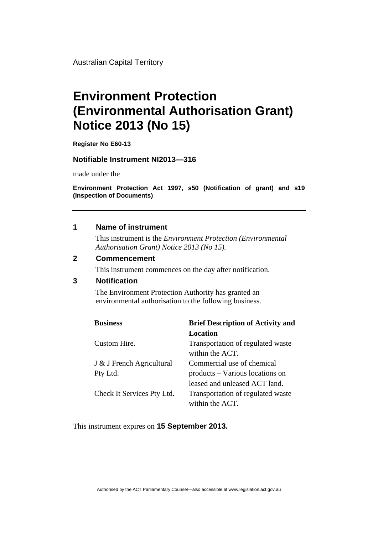Australian Capital Territory

# **Environment Protection (Environmental Authorisation Grant) Notice 2013 (No 15)**

**Register No E60-13** 

### **Notifiable Instrument NI2013—316**

made under the

**Environment Protection Act 1997, s50 (Notification of grant) and s19 (Inspection of Documents)** 

#### **1 Name of instrument**

This instrument is the *Environment Protection (Environmental Authorisation Grant) Notice 2013 (No 15).* 

#### **2 Commencement**

This instrument commences on the day after notification.

## **3 Notification**

The Environment Protection Authority has granted an environmental authorisation to the following business.

| <b>Business</b>            | <b>Brief Description of Activity and</b> |
|----------------------------|------------------------------------------|
|                            | Location                                 |
| Custom Hire.               | Transportation of regulated waste        |
|                            | within the ACT.                          |
| J & J French Agricultural  | Commercial use of chemical               |
| Pty Ltd.                   | products – Various locations on          |
|                            | leased and unleased ACT land.            |
| Check It Services Pty Ltd. | Transportation of regulated waste        |
|                            | within the ACT.                          |

This instrument expires on **15 September 2013.**